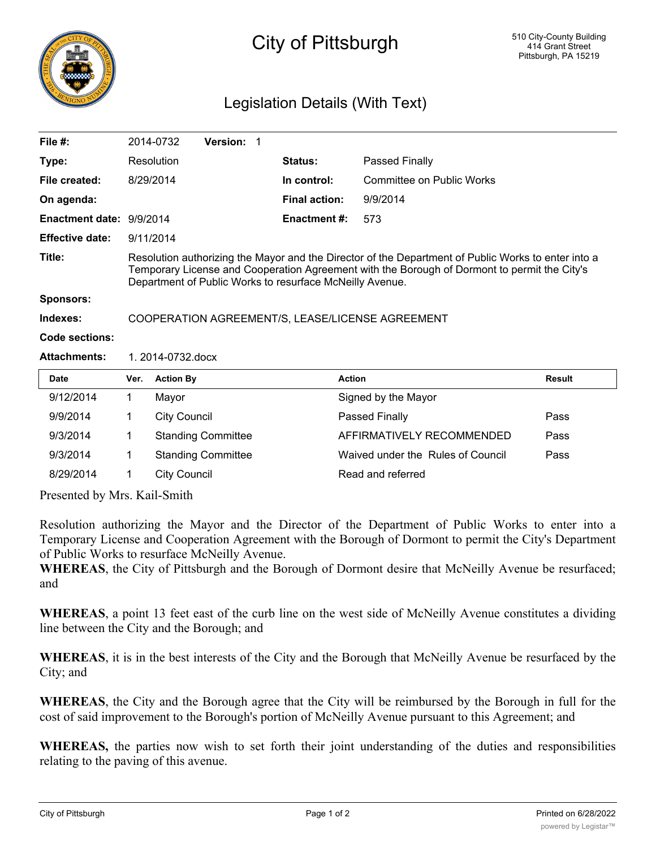

## City of Pittsburgh

## Legislation Details (With Text)

| File $#$ :               |                                                                                                                                                                                                                                                                 | 2014-0732           | Version: 1                |  |                     |                           |               |
|--------------------------|-----------------------------------------------------------------------------------------------------------------------------------------------------------------------------------------------------------------------------------------------------------------|---------------------|---------------------------|--|---------------------|---------------------------|---------------|
| Type:                    |                                                                                                                                                                                                                                                                 | Resolution          |                           |  | <b>Status:</b>      | Passed Finally            |               |
| File created:            |                                                                                                                                                                                                                                                                 | 8/29/2014           |                           |  | In control:         | Committee on Public Works |               |
| On agenda:               |                                                                                                                                                                                                                                                                 |                     |                           |  | Final action:       | 9/9/2014                  |               |
| Enactment date: 9/9/2014 |                                                                                                                                                                                                                                                                 |                     |                           |  | <b>Enactment #:</b> | 573                       |               |
| <b>Effective date:</b>   |                                                                                                                                                                                                                                                                 | 9/11/2014           |                           |  |                     |                           |               |
| Title:                   | Resolution authorizing the Mayor and the Director of the Department of Public Works to enter into a<br>Temporary License and Cooperation Agreement with the Borough of Dormont to permit the City's<br>Department of Public Works to resurface McNeilly Avenue. |                     |                           |  |                     |                           |               |
| <b>Sponsors:</b>         |                                                                                                                                                                                                                                                                 |                     |                           |  |                     |                           |               |
| Indexes:                 | COOPERATION AGREEMENT/S, LEASE/LICENSE AGREEMENT                                                                                                                                                                                                                |                     |                           |  |                     |                           |               |
| Code sections:           |                                                                                                                                                                                                                                                                 |                     |                           |  |                     |                           |               |
| <b>Attachments:</b>      | 1.2014-0732.docx                                                                                                                                                                                                                                                |                     |                           |  |                     |                           |               |
| <b>Date</b>              | Ver.                                                                                                                                                                                                                                                            | <b>Action By</b>    |                           |  | <b>Action</b>       |                           | <b>Result</b> |
| 9/12/2014                | 1                                                                                                                                                                                                                                                               | Mayor               |                           |  |                     | Signed by the Mayor       |               |
| 9/9/2014                 | 1                                                                                                                                                                                                                                                               | <b>City Council</b> |                           |  |                     | Passed Finally            | Pass          |
| 9/3/2014                 |                                                                                                                                                                                                                                                                 |                     | <b>Standing Committee</b> |  |                     | AFFIRMATIVELY RECOMMENDED | Pass          |

Presented by Mrs. Kail-Smith

Resolution authorizing the Mayor and the Director of the Department of Public Works to enter into a Temporary License and Cooperation Agreement with the Borough of Dormont to permit the City's Department of Public Works to resurface McNeilly Avenue.

9/3/2014 1 Standing Committee Waived under the Rules of Council Pass

8/29/2014 1 City Council Read and referred

**WHEREAS**, the City of Pittsburgh and the Borough of Dormont desire that McNeilly Avenue be resurfaced; and

**WHEREAS**, a point 13 feet east of the curb line on the west side of McNeilly Avenue constitutes a dividing line between the City and the Borough; and

**WHEREAS**, it is in the best interests of the City and the Borough that McNeilly Avenue be resurfaced by the City; and

**WHEREAS**, the City and the Borough agree that the City will be reimbursed by the Borough in full for the cost of said improvement to the Borough's portion of McNeilly Avenue pursuant to this Agreement; and

**WHEREAS,** the parties now wish to set forth their joint understanding of the duties and responsibilities relating to the paving of this avenue.